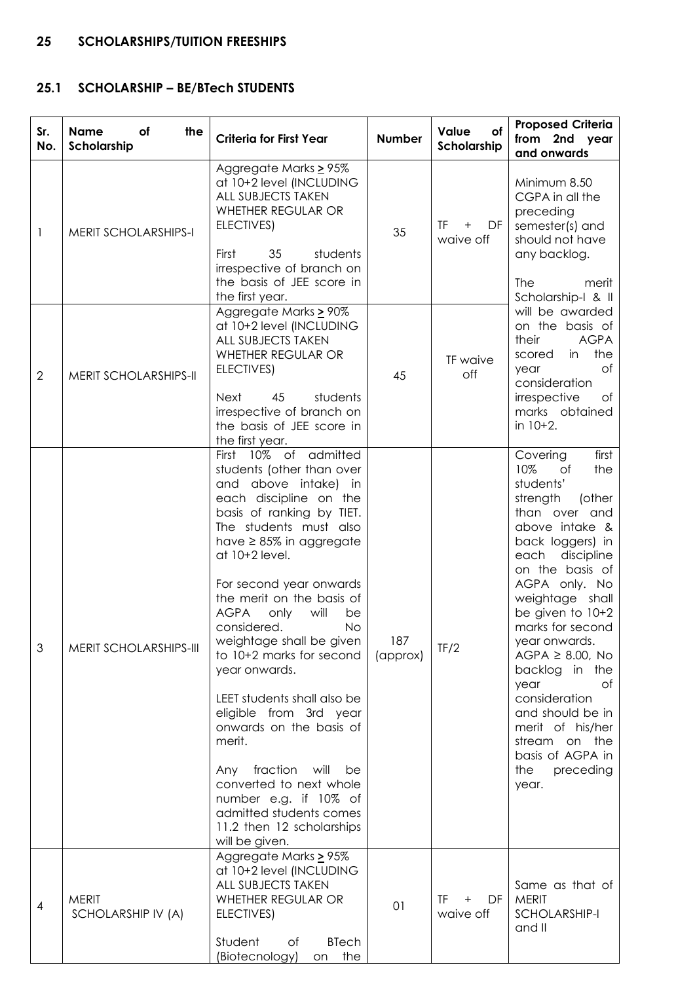# **25 SCHOLARSHIPS/TUITION FREESHIPS**

# **25.1 SCHOLARSHIP – BE/BTech STUDENTS**

| Sr.<br>No.     | <b>Name</b><br>of<br>the<br>Scholarship | <b>Criteria for First Year</b>                                                                                                                                                                                                                                                                                                                                                                                                                                                                                                                                                                                                                                     | <b>Number</b>   | Value<br>of<br>Scholarship                                  | <b>Proposed Criteria</b><br>from 2nd year<br>and onwards                                                                                                                                                                                                                                                                                                                                                                                                  |
|----------------|-----------------------------------------|--------------------------------------------------------------------------------------------------------------------------------------------------------------------------------------------------------------------------------------------------------------------------------------------------------------------------------------------------------------------------------------------------------------------------------------------------------------------------------------------------------------------------------------------------------------------------------------------------------------------------------------------------------------------|-----------------|-------------------------------------------------------------|-----------------------------------------------------------------------------------------------------------------------------------------------------------------------------------------------------------------------------------------------------------------------------------------------------------------------------------------------------------------------------------------------------------------------------------------------------------|
| 1              | <b>MERIT SCHOLARSHIPS-I</b>             | Aggregate Marks > 95%<br>at 10+2 level (INCLUDING<br><b>ALL SUBJECTS TAKEN</b><br>WHETHER REGULAR OR<br>ELECTIVES)<br>students<br>First<br>35<br>irrespective of branch on<br>the basis of JEE score in<br>the first year.                                                                                                                                                                                                                                                                                                                                                                                                                                         | 35              | TF 1<br>$\begin{array}{c} + \end{array}$<br>DF<br>waive off | Minimum 8.50<br>CGPA in all the<br>preceding<br>semester(s) and<br>should not have<br>any backlog.<br><b>The</b><br>merit<br>Scholarship-I & II                                                                                                                                                                                                                                                                                                           |
| $\mathbf{2}$   | MERIT SCHOLARSHIPS-II                   | Aggregate Marks > 90%<br>at 10+2 level (INCLUDING<br><b>ALL SUBJECTS TAKEN</b><br>WHETHER REGULAR OR<br>ELECTIVES)<br><b>Next</b><br>45<br>students<br>irrespective of branch on<br>the basis of JEE score in<br>the first year.                                                                                                                                                                                                                                                                                                                                                                                                                                   | 45              | TF waive<br>off                                             | will be awarded<br>on the basis of<br><b>AGPA</b><br>their<br>the<br>in<br>scored<br>Оf<br>year<br>consideration<br>irrespective<br>of<br>marks obtained<br>in 10+2.                                                                                                                                                                                                                                                                                      |
| 3              | MERIT SCHOLARSHIPS-III                  | First 10% of admitted<br>students (other than over<br>and above intake) in<br>each discipline on the<br>basis of ranking by TIET.<br>The students must also<br>have $\geq$ 85% in aggregate<br>at 10+2 level.<br>For second year onwards<br>the merit on the basis of<br><b>AGPA</b><br>only<br>will<br>be<br>considered.<br>No<br>weightage shall be given<br>to 10+2 marks for second<br>year onwards.<br>LEET students shall also be<br>eligible from 3rd year<br>onwards on the basis of<br>merit.<br>Any fraction<br>will<br>be<br>converted to next whole<br>number e.g. if 10% of<br>admitted students comes<br>11.2 then 12 scholarships<br>will be given. | 187<br>(approx) | TF/2                                                        | first<br>Covering<br>10%<br>of<br>the<br>students'<br>strength<br>(other<br>than over and<br>above intake &<br>back loggers) in<br>each<br>discipline<br>on the basis of<br>AGPA only. No<br>weightage shall<br>be given to 10+2<br>marks for second<br>year onwards.<br>$AGPA \geq 8.00$ , No<br>backlog in the<br>year<br>0f<br>consideration<br>and should be in<br>merit of his/her<br>stream on the<br>basis of AGPA in<br>the<br>preceding<br>year. |
| $\overline{4}$ | <b>MERIT</b><br>SCHOLARSHIP IV (A)      | Aggregate Marks > 95%<br>at 10+2 level (INCLUDING<br><b>ALL SUBJECTS TAKEN</b><br>WHETHER REGULAR OR<br>ELECTIVES)<br>Student<br>Оf<br><b>BTech</b><br>(Biotecnology)<br>the<br>on                                                                                                                                                                                                                                                                                                                                                                                                                                                                                 | O <sub>1</sub>  | TF.<br>DF<br>$\ddot{}$<br>waive off                         | Same as that of<br><b>MERIT</b><br>SCHOLARSHIP-I<br>and II                                                                                                                                                                                                                                                                                                                                                                                                |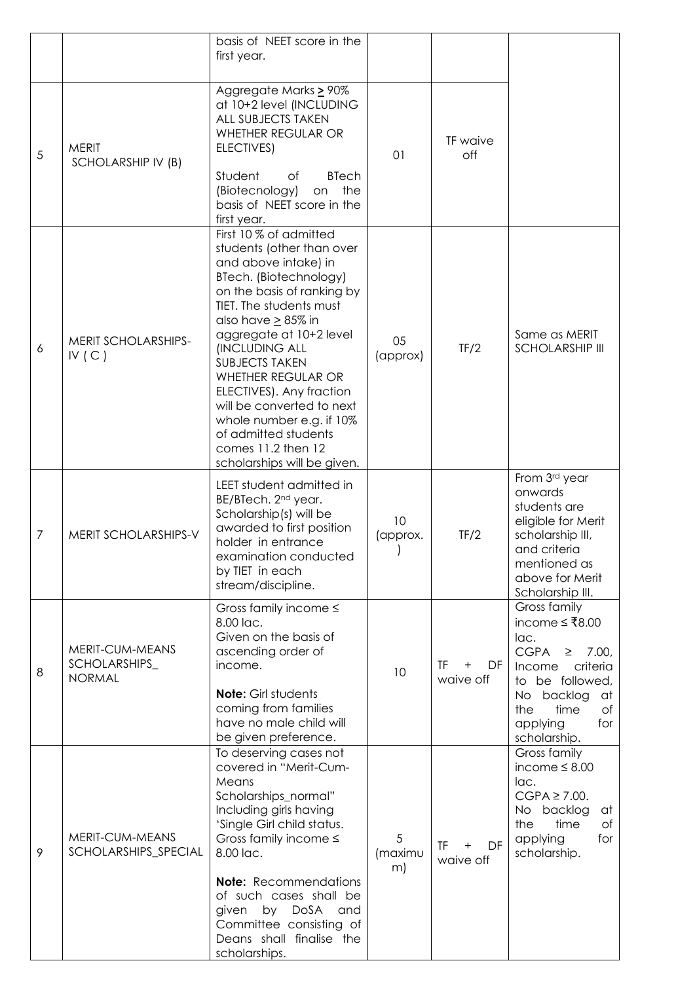|                  |                                                   | basis of NEET score in the<br>first year.                                                                                                                                                                                                                                                                                                                                                                                                                     |                    |                                           |                                                                                                                                                                                                 |
|------------------|---------------------------------------------------|---------------------------------------------------------------------------------------------------------------------------------------------------------------------------------------------------------------------------------------------------------------------------------------------------------------------------------------------------------------------------------------------------------------------------------------------------------------|--------------------|-------------------------------------------|-------------------------------------------------------------------------------------------------------------------------------------------------------------------------------------------------|
| 5                | <b>MERIT</b><br>SCHOLARSHIP IV (B)                | Aggregate Marks > 90%<br>at 10+2 level (INCLUDING<br><b>ALL SUBJECTS TAKEN</b><br>WHETHER REGULAR OR<br>ELECTIVES)<br>Student<br><b>BTech</b><br>Оf<br>(Biotecnology)<br>the<br>on<br>basis of NEET score in the<br>first year.                                                                                                                                                                                                                               | 01                 | TF waive<br>off                           |                                                                                                                                                                                                 |
| $\boldsymbol{6}$ | MERIT SCHOLARSHIPS-<br>IV(C)                      | First 10 % of admitted<br>students (other than over<br>and above intake) in<br>BTech. (Biotechnology)<br>on the basis of ranking by<br>TIET. The students must<br>also have $\geq$ 85% in<br>aggregate at 10+2 level<br><b>INCLUDING ALL</b><br><b>SUBJECTS TAKEN</b><br>WHETHER REGULAR OR<br>ELECTIVES). Any fraction<br>will be converted to next<br>whole number e.g. if 10%<br>of admitted students<br>comes 11.2 then 12<br>scholarships will be given. | 05<br>(approx)     | TF/2                                      | Same as MERIT<br><b>SCHOLARSHIP III</b>                                                                                                                                                         |
| $\overline{7}$   | MERIT SCHOLARSHIPS-V                              | LEET student admitted in<br>BE/BTech. 2 <sup>nd</sup> year.<br>Scholarship(s) will be<br>awarded to first position<br>holder in entrance<br>examination conducted<br>by TIET in each<br>stream/discipline.                                                                                                                                                                                                                                                    | 10<br>(approx.     | TF/2                                      | From 3rd year<br>onwards<br>students are<br>eligible for Merit<br>scholarship III,<br>and criteria<br>mentioned as<br>above for Merit<br>Scholarship III.                                       |
| 8                | MERIT-CUM-MEANS<br>SCHOLARSHIPS_<br><b>NORMAL</b> | Gross family income $\leq$<br>8.00 lac.<br>Given on the basis of<br>ascending order of<br>income.<br><b>Note:</b> Girl students<br>coming from families<br>have no male child will<br>be given preference.                                                                                                                                                                                                                                                    | 10                 | TF.<br>$\ddot{}$<br>DF<br>waive off       | Gross family<br>income $≤$ ₹8.00<br>lac.<br><b>CGPA</b><br>7.00,<br>$\geq$<br>criteria<br>Income<br>to be followed,<br>No backlog<br>at<br>time<br>of<br>the<br>applying<br>for<br>scholarship. |
| 9                | MERIT-CUM-MEANS<br>SCHOLARSHIPS_SPECIAL           | To deserving cases not<br>covered in "Merit-Cum-<br>Means<br>Scholarships_normal"<br>Including girls having<br>'Single Girl child status.<br>Gross family income $\leq$<br>8.00 lac.<br><b>Note:</b> Recommendations<br>of such cases shall be<br>by DoSA and<br>given<br>Committee consisting of<br>Deans shall finalise the<br>scholarships.                                                                                                                | 5<br>(maximu<br>m) | <b>TF</b><br>DF<br>$\ddot{}$<br>waive off | Gross family<br>income $\leq 8.00$<br>lac.<br>$CGPA \ge 7.00$ .<br>No backlog<br>at<br>the<br>time<br>of<br>applying<br>for<br>scholarship.                                                     |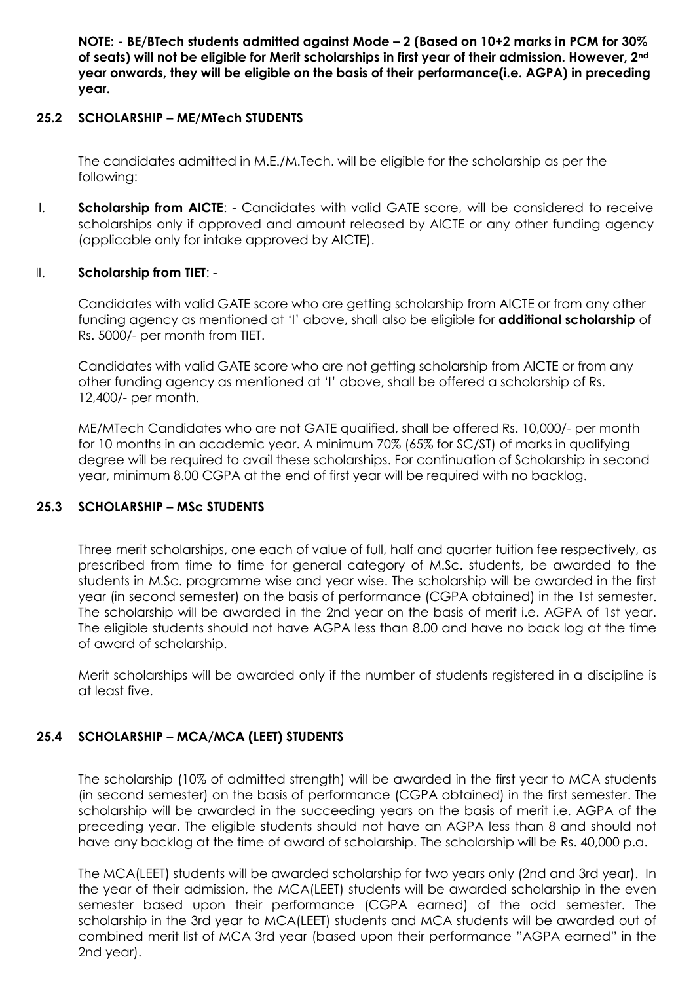**NOTE: - BE/BTech students admitted against Mode – 2 (Based on 10+2 marks in PCM for 30% of seats) will not be eligible for Merit scholarships in first year of their admission. However, 2nd year onwards, they will be eligible on the basis of their performance(i.e. AGPA) in preceding year.**

#### **25.2 SCHOLARSHIP – ME/MTech STUDENTS**

The candidates admitted in M.E./M.Tech. will be eligible for the scholarship as per the following:

I. **Scholarship from AICTE**: - Candidates with valid GATE score, will be considered to receive scholarships only if approved and amount released by AICTE or any other funding agency (applicable only for intake approved by AICTE).

#### II. **Scholarship from TIET**: -

Candidates with valid GATE score who are getting scholarship from AICTE or from any other funding agency as mentioned at 'I' above, shall also be eligible for **additional scholarship** of Rs. 5000/- per month from TIET.

Candidates with valid GATE score who are not getting scholarship from AICTE or from any other funding agency as mentioned at 'I' above, shall be offered a scholarship of Rs. 12,400/- per month.

ME/MTech Candidates who are not GATE qualified, shall be offered Rs. 10,000/- per month for 10 months in an academic year. A minimum 70% (65% for SC/ST) of marks in qualifying degree will be required to avail these scholarships. For continuation of Scholarship in second year, minimum 8.00 CGPA at the end of first year will be required with no backlog.

### **25.3 SCHOLARSHIP – MSc STUDENTS**

Three merit scholarships, one each of value of full, half and quarter tuition fee respectively, as prescribed from time to time for general category of M.Sc. students, be awarded to the students in M.Sc. programme wise and year wise. The scholarship will be awarded in the first year (in second semester) on the basis of performance (CGPA obtained) in the 1st semester. The scholarship will be awarded in the 2nd year on the basis of merit i.e. AGPA of 1st year. The eligible students should not have AGPA less than 8.00 and have no back log at the time of award of scholarship.

Merit scholarships will be awarded only if the number of students registered in a discipline is at least five.

### **25.4 SCHOLARSHIP – MCA/MCA (LEET) STUDENTS**

The scholarship (10% of admitted strength) will be awarded in the first year to MCA students (in second semester) on the basis of performance (CGPA obtained) in the first semester. The scholarship will be awarded in the succeeding years on the basis of merit i.e. AGPA of the preceding year. The eligible students should not have an AGPA less than 8 and should not have any backlog at the time of award of scholarship. The scholarship will be Rs. 40,000 p.a.

The MCA(LEET) students will be awarded scholarship for two years only (2nd and 3rd year). In the year of their admission, the MCA(LEET) students will be awarded scholarship in the even semester based upon their performance (CGPA earned) of the odd semester. The scholarship in the 3rd year to MCA(LEET) students and MCA students will be awarded out of combined merit list of MCA 3rd year (based upon their performance "AGPA earned" in the 2nd year).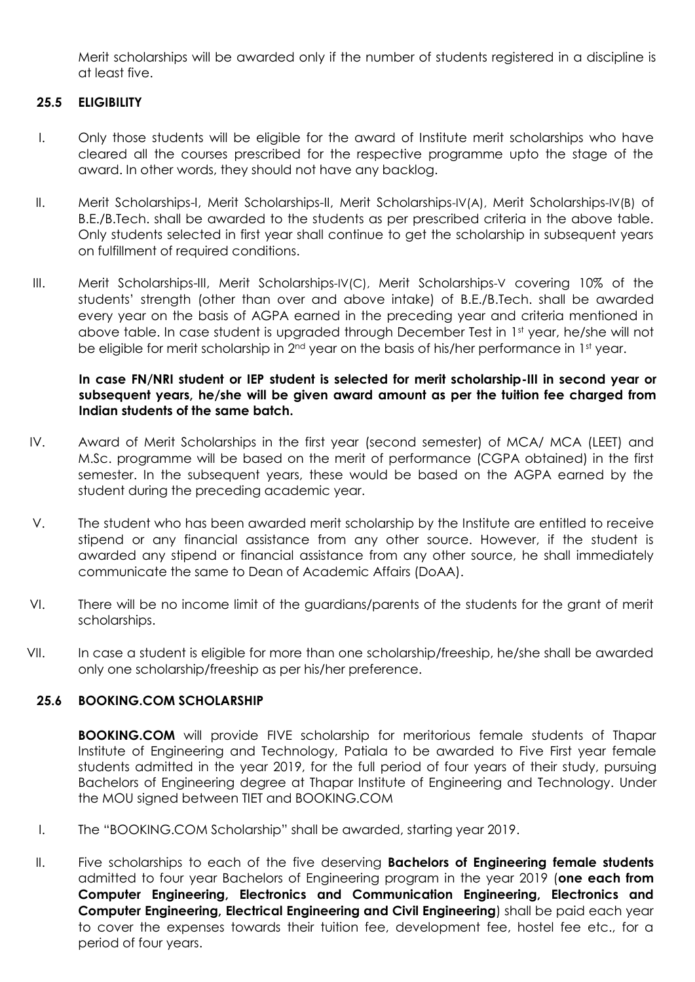Merit scholarships will be awarded only if the number of students registered in a discipline is at least five.

#### **25.5 ELIGIBILITY**

- I. Only those students will be eligible for the award of Institute merit scholarships who have cleared all the courses prescribed for the respective programme upto the stage of the award. In other words, they should not have any backlog.
- II. Merit Scholarships-I, Merit Scholarships-II, Merit Scholarships-IV(A), Merit Scholarships-IV(B) of B.E./B.Tech. shall be awarded to the students as per prescribed criteria in the above table. Only students selected in first year shall continue to get the scholarship in subsequent years on fulfillment of required conditions.
- III. Merit Scholarships-III, Merit Scholarships-IV(C), Merit Scholarships-V covering 10% of the students' strength (other than over and above intake) of B.E./B.Tech. shall be awarded every year on the basis of AGPA earned in the preceding year and criteria mentioned in above table. In case student is upgraded through December Test in 1st year, he/she will not be eligible for merit scholarship in 2<sup>nd</sup> year on the basis of his/her performance in 1<sup>st</sup> year.

#### **In case FN/NRI student or IEP student is selected for merit scholarship-III in second year or subsequent years, he/she will be given award amount as per the tuition fee charged from Indian students of the same batch.**

- IV. Award of Merit Scholarships in the first year (second semester) of MCA/ MCA (LEET) and M.Sc. programme will be based on the merit of performance (CGPA obtained) in the first semester. In the subsequent years, these would be based on the AGPA earned by the student during the preceding academic year.
- V. The student who has been awarded merit scholarship by the Institute are entitled to receive stipend or any financial assistance from any other source. However, if the student is awarded any stipend or financial assistance from any other source, he shall immediately communicate the same to Dean of Academic Affairs (DoAA).
- VI. There will be no income limit of the guardians/parents of the students for the grant of merit scholarships.
- VII. In case a student is eligible for more than one scholarship/freeship, he/she shall be awarded only one scholarship/freeship as per his/her preference.

#### **25.6 BOOKING.COM SCHOLARSHIP**

**BOOKING.COM** will provide FIVE scholarship for meritorious female students of Thapar Institute of Engineering and Technology, Patiala to be awarded to Five First year female students admitted in the year 2019, for the full period of four years of their study, pursuing Bachelors of Engineering degree at Thapar Institute of Engineering and Technology. Under the MOU signed between TIET and BOOKING.COM

- I. The "BOOKING.COM Scholarship" shall be awarded, starting year 2019.
- II. Five scholarships to each of the five deserving **Bachelors of Engineering female students** admitted to four year Bachelors of Engineering program in the year 2019 (**one each from Computer Engineering, Electronics and Communication Engineering, Electronics and Computer Engineering, Electrical Engineering and Civil Engineering**) shall be paid each year to cover the expenses towards their tuition fee, development fee, hostel fee etc., for a period of four years.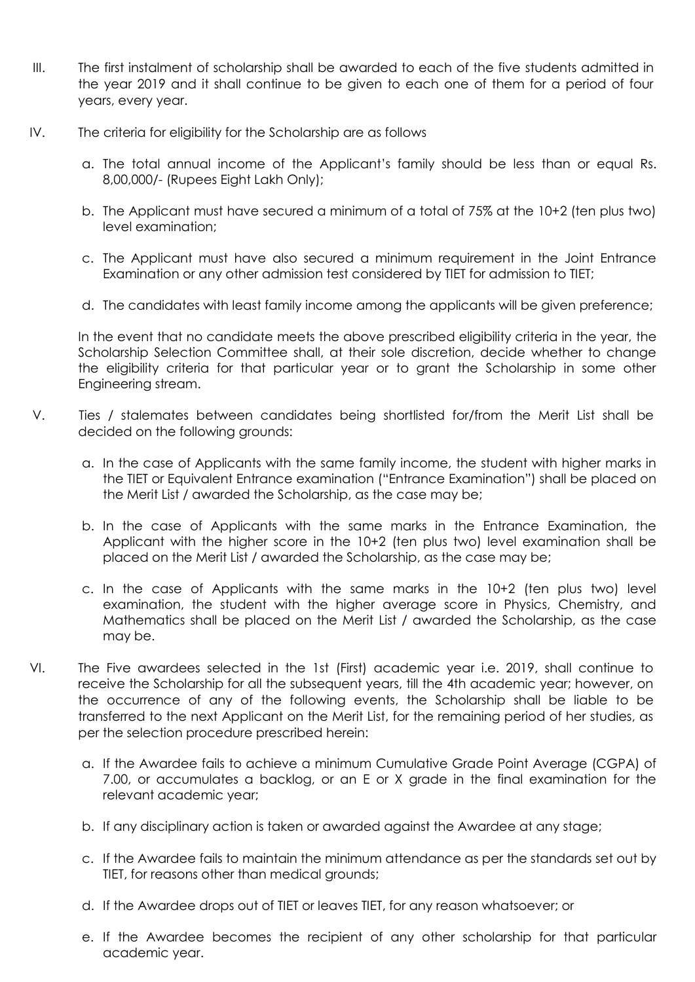- III. The first instalment of scholarship shall be awarded to each of the five students admitted in the year 2019 and it shall continue to be given to each one of them for a period of four years, every year.
- IV. The criteria for eligibility for the Scholarship are as follows
	- a. The total annual income of the Applicant's family should be less than or equal Rs. 8,00,000/- (Rupees Eight Lakh Only);
	- b. The Applicant must have secured a minimum of a total of 75% at the 10+2 (ten plus two) level examination;
	- c. The Applicant must have also secured a minimum requirement in the Joint Entrance Examination or any other admission test considered by TIET for admission to TIET;
	- d. The candidates with least family income among the applicants will be given preference;

In the event that no candidate meets the above prescribed eligibility criteria in the year, the Scholarship Selection Committee shall, at their sole discretion, decide whether to change the eligibility criteria for that particular year or to grant the Scholarship in some other Engineering stream.

- V. Ties / stalemates between candidates being shortlisted for/from the Merit List shall be decided on the following grounds:
	- a. In the case of Applicants with the same family income, the student with higher marks in the TIET or Equivalent Entrance examination ("Entrance Examination") shall be placed on the Merit List / awarded the Scholarship, as the case may be;
	- b. In the case of Applicants with the same marks in the Entrance Examination, the Applicant with the higher score in the 10+2 (ten plus two) level examination shall be placed on the Merit List / awarded the Scholarship, as the case may be;
	- c. In the case of Applicants with the same marks in the 10+2 (ten plus two) level examination, the student with the higher average score in Physics, Chemistry, and Mathematics shall be placed on the Merit List / awarded the Scholarship, as the case may be.
- VI. The Five awardees selected in the 1st (First) academic year i.e. 2019, shall continue to receive the Scholarship for all the subsequent years, till the 4th academic year; however, on the occurrence of any of the following events, the Scholarship shall be liable to be transferred to the next Applicant on the Merit List, for the remaining period of her studies, as per the selection procedure prescribed herein:
	- a. If the Awardee fails to achieve a minimum Cumulative Grade Point Average (CGPA) of 7.00, or accumulates a backlog, or an E or X grade in the final examination for the relevant academic year;
	- b. If any disciplinary action is taken or awarded against the Awardee at any stage;
	- c. If the Awardee fails to maintain the minimum attendance as per the standards set out by TIET, for reasons other than medical grounds;
	- d. If the Awardee drops out of TIET or leaves TIET, for any reason whatsoever; or
	- e. If the Awardee becomes the recipient of any other scholarship for that particular academic year.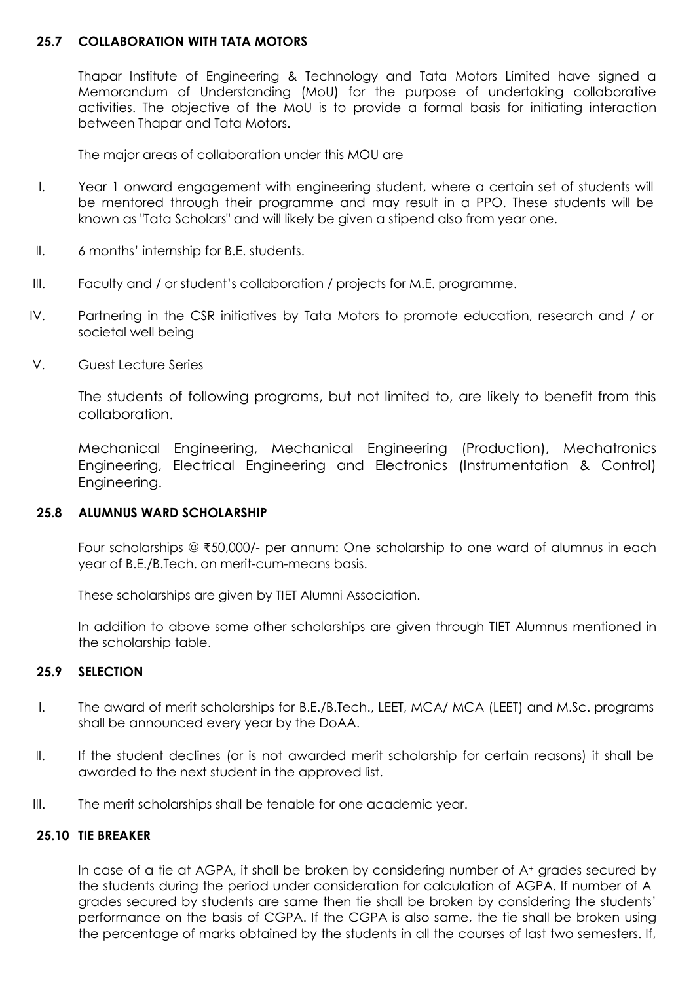#### **25.7 COLLABORATION WITH TATA MOTORS**

Thapar Institute of Engineering & Technology and Tata Motors Limited have signed a Memorandum of Understanding (MoU) for the purpose of undertaking collaborative activities. The objective of the MoU is to provide a formal basis for initiating interaction between Thapar and Tata Motors.

The major areas of collaboration under this MOU are

- I. Year 1 onward engagement with engineering student, where a certain set of students will be mentored through their programme and may result in a PPO. These students will be known as "Tata Scholars" and will likely be given a stipend also from year one.
- II. 6 months' internship for B.E. students.
- III. Faculty and / or student's collaboration / projects for M.E. programme.
- IV. Partnering in the CSR initiatives by Tata Motors to promote education, research and / or societal well being
- V. Guest Lecture Series

The students of following programs, but not limited to, are likely to benefit from this collaboration.

Mechanical Engineering, Mechanical Engineering (Production), Mechatronics Engineering, Electrical Engineering and Electronics (Instrumentation & Control) Engineering.

#### **25.8 ALUMNUS WARD SCHOLARSHIP**

Four scholarships @ ₹50,000/- per annum: One scholarship to one ward of alumnus in each year of B.E./B.Tech. on merit-cum-means basis.

These scholarships are given by TIET Alumni Association.

In addition to above some other scholarships are given through TIET Alumnus mentioned in the scholarship table.

### **25.9 SELECTION**

- I. The award of merit scholarships for B.E./B.Tech., LEET, MCA/ MCA (LEET) and M.Sc. programs shall be announced every year by the DoAA.
- II. If the student declines (or is not awarded merit scholarship for certain reasons) it shall be awarded to the next student in the approved list.
- III. The merit scholarships shall be tenable for one academic year.

#### **25.10 TIE BREAKER**

In case of a tie at AGPA, it shall be broken by considering number of A<sup>+</sup> grades secured by the students during the period under consideration for calculation of AGPA. If number of A<sup>+</sup> grades secured by students are same then tie shall be broken by considering the students' performance on the basis of CGPA. If the CGPA is also same, the tie shall be broken using the percentage of marks obtained by the students in all the courses of last two semesters. If,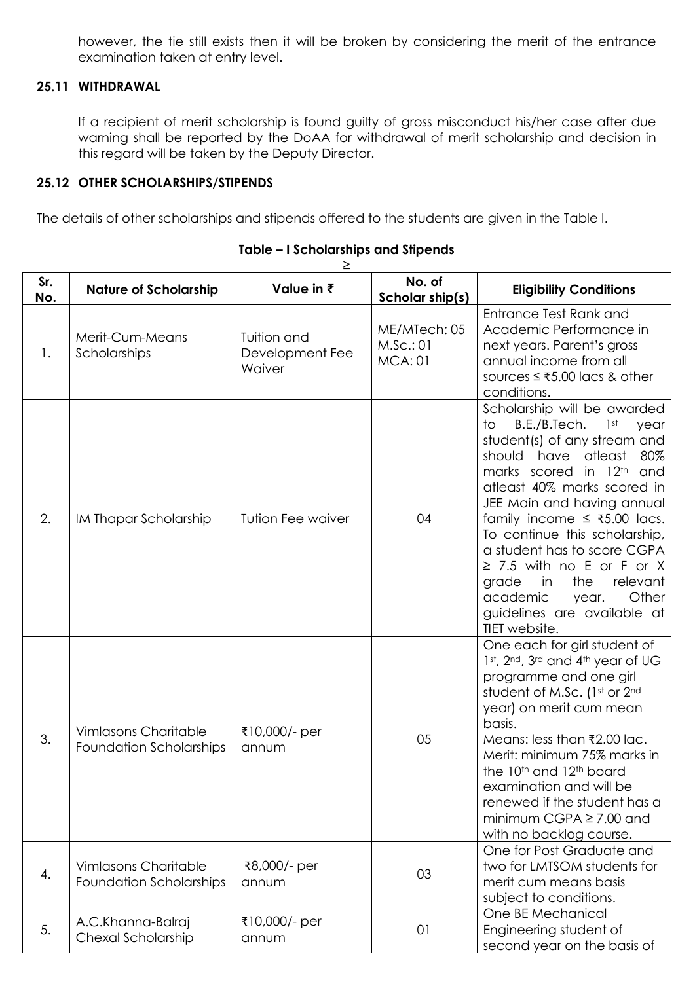however, the tie still exists then it will be broken by considering the merit of the entrance examination taken at entry level.

## **25.11 WITHDRAWAL**

If a recipient of merit scholarship is found guilty of gross misconduct his/her case after due warning shall be reported by the DoAA for withdrawal of merit scholarship and decision in this regard will be taken by the Deputy Director.

#### **25.12 OTHER SCHOLARSHIPS/STIPENDS**

The details of other scholarships and stipends offered to the students are given in the Table I.

| Sr.<br>No. | <b>Nature of Scholarship</b>                                  | Value in ₹                               | No. of<br>Scholar ship(s)                  | <b>Eligibility Conditions</b>                                                                                                                                                                                                                                                                                                                                                                                                                                                          |
|------------|---------------------------------------------------------------|------------------------------------------|--------------------------------------------|----------------------------------------------------------------------------------------------------------------------------------------------------------------------------------------------------------------------------------------------------------------------------------------------------------------------------------------------------------------------------------------------------------------------------------------------------------------------------------------|
| 1.         | Merit-Cum-Means<br>Scholarships                               | Tuition and<br>Development Fee<br>Waiver | ME/MTech: 05<br>M.SC.:01<br><b>MCA: 01</b> | Entrance Test Rank and<br>Academic Performance in<br>next years. Parent's gross<br>annual income from all<br>sources ≤ ₹5.00 lacs & other<br>conditions.                                                                                                                                                                                                                                                                                                                               |
| 2.         | IM Thapar Scholarship                                         | <b>Tution Fee waiver</b>                 | 04                                         | Scholarship will be awarded<br>B.E./B.Tech.<br>1 <sup>st</sup><br>to<br>year<br>student(s) of any stream and<br>should have atleast<br>80%<br>marks scored in 12th and<br>atleast 40% marks scored in<br>JEE Main and having annual<br>family income $≤$ ₹5.00 lacs.<br>To continue this scholarship,<br>a student has to score CGPA<br>$\geq$ 7.5 with no E or F or X<br>grade<br>the<br>relevant<br>in<br>Other<br>academic<br>year.<br>guidelines are available at<br>TIET website. |
| 3.         | <b>Vimlasons Charitable</b><br>Foundation Scholarships        | ₹10,000/- per<br>annum                   | 05                                         | One each for girl student of<br>1st, 2nd, 3rd and 4th year of UG<br>programme and one girl<br>student of M.Sc. (1st or 2nd<br>year) on merit cum mean<br>basis.<br>Means: less than ₹2.00 lac.<br>Merit: minimum 75% marks in<br>the 10 <sup>th</sup> and 12 <sup>th</sup> board<br>examination and will be<br>renewed if the student has a<br>minimum CGPA $\geq$ 7.00 and<br>with no backlog course.                                                                                 |
| 4.         | <b>Vimlasons Charitable</b><br><b>Foundation Scholarships</b> | ₹8,000/- per<br>annum                    | 03                                         | One for Post Graduate and<br>two for LMTSOM students for<br>merit cum means basis<br>subject to conditions.                                                                                                                                                                                                                                                                                                                                                                            |
| 5.         | A.C.Khanna-Balraj<br>Chexal Scholarship                       | ₹10,000/- per<br>annum                   | 01                                         | One BE Mechanical<br>Engineering student of<br>second year on the basis of                                                                                                                                                                                                                                                                                                                                                                                                             |

#### **Table – I Scholarships and Stipends** ≥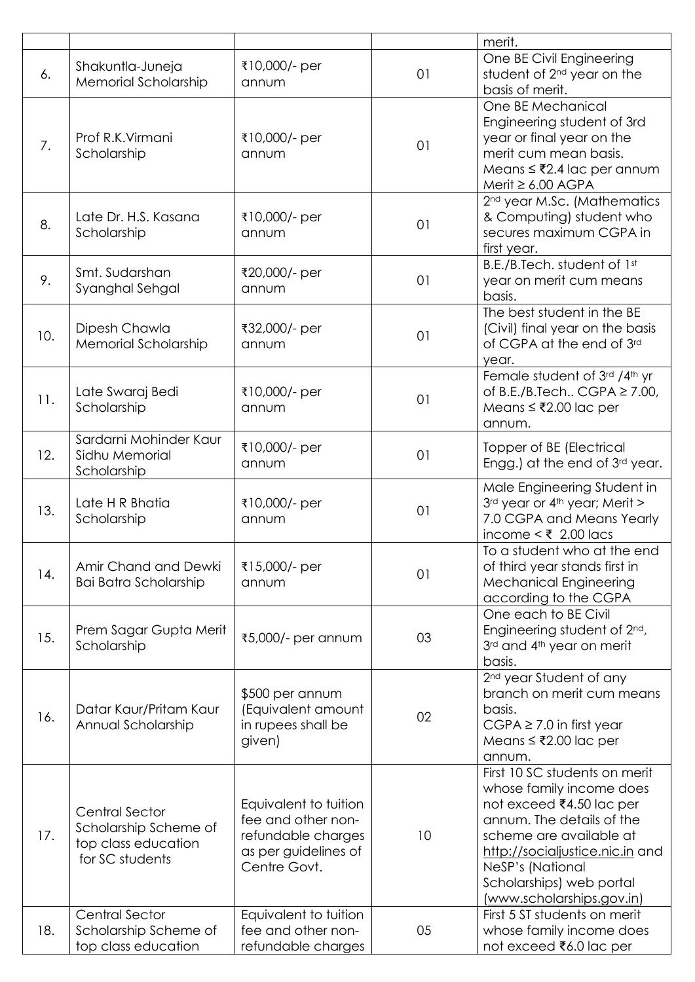|     |                                                                                          |                                                                                                           |    | merit.                                                                                                                                                                                                                                                        |
|-----|------------------------------------------------------------------------------------------|-----------------------------------------------------------------------------------------------------------|----|---------------------------------------------------------------------------------------------------------------------------------------------------------------------------------------------------------------------------------------------------------------|
| 6.  | Shakuntla-Juneja<br>Memorial Scholarship                                                 | ₹10,000/- per<br>annum                                                                                    | 01 | One BE Civil Engineering<br>student of 2 <sup>nd</sup> year on the<br>basis of merit.                                                                                                                                                                         |
| 7.  | Prof R.K. Virmani<br>Scholarship                                                         | ₹10,000/- per<br>annum                                                                                    | 01 | One BE Mechanical<br>Engineering student of 3rd<br>year or final year on the<br>merit cum mean basis.<br>Means $≤ ₹2.4$ lac per annum<br>Merit $\geq 6.00$ AGPA                                                                                               |
| 8.  | Late Dr. H.S. Kasana<br>Scholarship                                                      | ₹10,000/- per<br>annum                                                                                    | 01 | 2 <sup>nd</sup> year M.Sc. (Mathematics<br>& Computing) student who<br>secures maximum CGPA in<br>first year.                                                                                                                                                 |
| 9.  | Smt. Sudarshan<br>Syanghal Sehgal                                                        | ₹20,000/- per<br>annum                                                                                    | 01 | B.E./B.Tech. student of 1st<br>year on merit cum means<br>basis.                                                                                                                                                                                              |
| 10. | Dipesh Chawla<br><b>Memorial Scholarship</b>                                             | ₹32,000/- per<br>annum                                                                                    | 01 | The best student in the BE<br>(Civil) final year on the basis<br>of CGPA at the end of 3rd<br>year.                                                                                                                                                           |
| 11. | Late Swaraj Bedi<br>Scholarship                                                          | ₹10,000/- per<br>annum                                                                                    | 01 | Female student of 3rd /4th yr<br>of B.E./B.Tech CGPA $\geq$ 7.00,<br>Means $≤ ₹2.00$ lac per<br>annum.                                                                                                                                                        |
| 12. | Sardarni Mohinder Kaur<br>Sidhu Memorial<br>Scholarship                                  | ₹10,000/- per<br>annum                                                                                    | 01 | Topper of BE (Electrical<br>Engg.) at the end of 3rd year.                                                                                                                                                                                                    |
| 13. | Late H R Bhatia<br>Scholarship                                                           | ₹10,000/- per<br>annum                                                                                    | 01 | Male Engineering Student in<br>3 <sup>rd</sup> year or 4 <sup>th</sup> year; Merit ><br>7.0 CGPA and Means Yearly<br>income < $\overline{\xi}$ 2.00 lacs                                                                                                      |
| 14. | Amir Chand and Dewki<br><b>Bai Batra Scholarship</b>                                     | ₹15,000/- per<br>annum                                                                                    | 01 | To a student who at the end<br>of third year stands first in<br><b>Mechanical Engineering</b><br>according to the CGPA                                                                                                                                        |
| 15. | Prem Sagar Gupta Merit<br>Scholarship                                                    | ₹5,000/- per annum                                                                                        | 03 | One each to BE Civil<br>Engineering student of 2 <sup>nd</sup> ,<br>3rd and 4th year on merit<br>basis.                                                                                                                                                       |
| 16. | Datar Kaur/Pritam Kaur<br>Annual Scholarship                                             | \$500 per annum<br>(Equivalent amount<br>in rupees shall be<br>given)                                     | 02 | 2 <sup>nd</sup> year Student of any<br>branch on merit cum means<br>basis.<br>$CGPA \ge 7.0$ in first year<br>Means ≤ ₹2.00 lac per<br>annum.                                                                                                                 |
| 17. | <b>Central Sector</b><br>Scholarship Scheme of<br>top class education<br>for SC students | Equivalent to tuition<br>fee and other non-<br>refundable charges<br>as per guidelines of<br>Centre Govt. | 10 | First 10 SC students on merit<br>whose family income does<br>not exceed ₹4.50 lac per<br>annum. The details of the<br>scheme are available at<br>http://socialjustice.nic.in and<br>NeSP's (National<br>Scholarships) web portal<br>(www.scholarships.gov.in) |
| 18. | <b>Central Sector</b><br>Scholarship Scheme of<br>top class education                    | Equivalent to tuition<br>fee and other non-<br>refundable charges                                         | 05 | First 5 ST students on merit<br>whose family income does<br>not exceed ₹6.0 lac per                                                                                                                                                                           |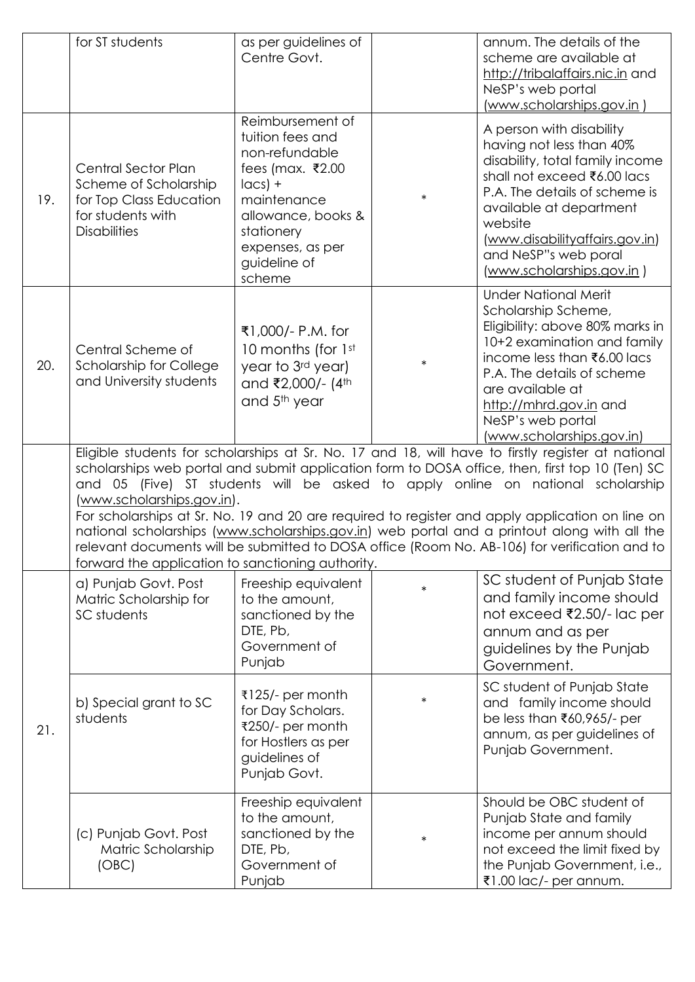|     | for ST students                                                                                                            | as per guidelines of<br>Centre Govt.                                                                                                                                                                     |        | annum. The details of the<br>scheme are available at<br>http://tribalaffairs.nic.in and<br>NeSP's web portal<br>(www.scholarships.gov.in)                                                                                                                                                                                                                                                                                                                                                                                                                                                    |
|-----|----------------------------------------------------------------------------------------------------------------------------|----------------------------------------------------------------------------------------------------------------------------------------------------------------------------------------------------------|--------|----------------------------------------------------------------------------------------------------------------------------------------------------------------------------------------------------------------------------------------------------------------------------------------------------------------------------------------------------------------------------------------------------------------------------------------------------------------------------------------------------------------------------------------------------------------------------------------------|
| 19. | <b>Central Sector Plan</b><br>Scheme of Scholarship<br>for Top Class Education<br>for students with<br><b>Disabilities</b> | Reimbursement of<br>tuition fees and<br>non-refundable<br>fees (max. $\overline{\xi}$ 2.00<br>$ acs $ +<br>maintenance<br>allowance, books &<br>stationery<br>expenses, as per<br>guideline of<br>scheme | $\ast$ | A person with disability<br>having not less than 40%<br>disability, total family income<br>shall not exceed ₹6.00 lacs<br>P.A. The details of scheme is<br>available at department<br>website<br>(www.disabilityaffairs.gov.in)<br>and NeSP"s web poral<br>(www.scholarships.gov.in)                                                                                                                                                                                                                                                                                                         |
| 20. | Central Scheme of<br><b>Scholarship for College</b><br>and University students                                             | ₹1,000/- P.M. for<br>10 months (for 1st<br>year to 3rd year)<br>and ₹2,000/- (4th<br>and 5 <sup>th</sup> year                                                                                            | $\ast$ | <b>Under National Merit</b><br>Scholarship Scheme,<br>Eligibility: above 80% marks in<br>10+2 examination and family<br>income less than ₹6.00 lacs<br>P.A. The details of scheme<br>are available at<br>http://mhrd.gov.in and<br>NeSP's web portal<br>(www.scholarships.gov.in)                                                                                                                                                                                                                                                                                                            |
|     | (www.scholarships.gov.in).<br>forward the application to sanctioning authority.                                            |                                                                                                                                                                                                          |        | Eligible students for scholarships at Sr. No. 17 and 18, will have to firstly register at national<br>scholarships web portal and submit application form to DOSA office, then, first top 10 (Ten) SC<br>and 05 (Five) ST students will be asked to apply online on national scholarship<br>For scholarships at Sr. No. 19 and 20 are required to register and apply application on line on<br>national scholarships (www.scholarships.gov.in) web portal and a printout along with all the<br>relevant documents will be submitted to DOSA office (Room No. AB-106) for verification and to |
|     | a) Punjab Govt. Post<br>Matric Scholarship for<br>SC students                                                              | Freeship equivalent<br>to the amount,<br>sanctioned by the<br>DTE, Pb,<br>Government of<br>Punjab                                                                                                        | $\ast$ | SC student of Punjab State<br>and family income should<br>not exceed ₹2.50/- lac per<br>annum and as per<br>guidelines by the Punjab<br>Government.                                                                                                                                                                                                                                                                                                                                                                                                                                          |
| 21. | b) Special grant to SC<br>students                                                                                         | ₹125/- per month<br>for Day Scholars.<br>₹250/- per month<br>for Hostlers as per<br>guidelines of<br>Punjab Govt.                                                                                        |        | SC student of Punjab State<br>and family income should<br>be less than ₹60,965/- per<br>annum, as per guidelines of<br>Punjab Government.                                                                                                                                                                                                                                                                                                                                                                                                                                                    |
|     | (c) Punjab Govt. Post<br>Matric Scholarship<br>(OBC)                                                                       | Freeship equivalent<br>to the amount,<br>sanctioned by the<br>DTE, Pb,<br>Government of<br>Punjab                                                                                                        | $\ast$ | Should be OBC student of<br>Punjab State and family<br>income per annum should<br>not exceed the limit fixed by<br>the Punjab Government, i.e.,<br>₹1.00 lac/- per annum.                                                                                                                                                                                                                                                                                                                                                                                                                    |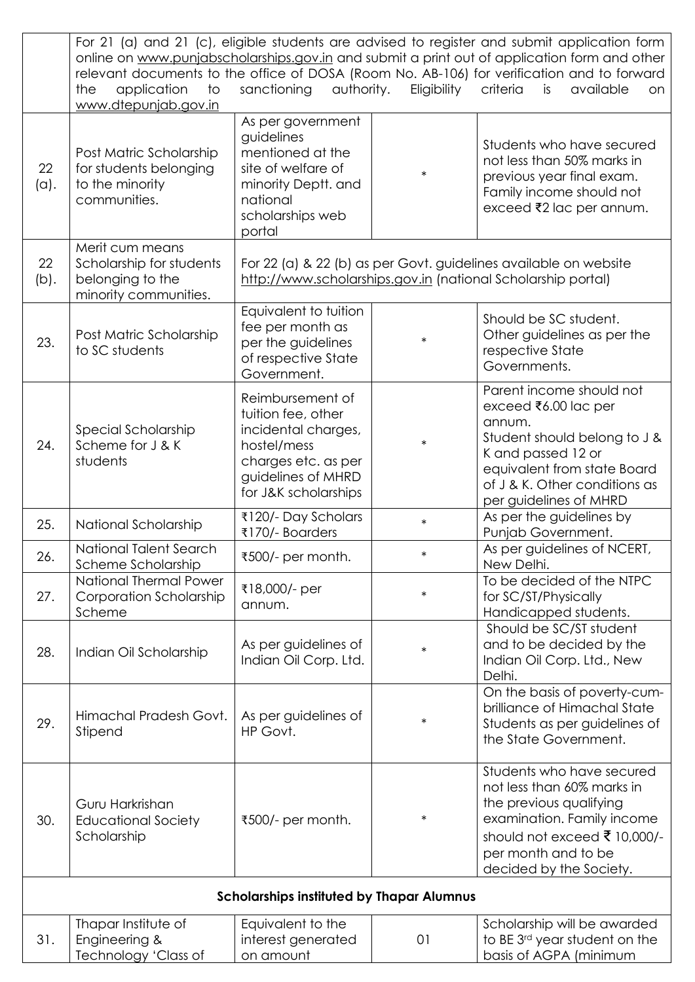|            | For 21 (a) and 21 (c), eligible students are advised to register and submit application form                                                                                               |                                                                                                                                                   |             |                                                                                                                                                                                                            |  |
|------------|--------------------------------------------------------------------------------------------------------------------------------------------------------------------------------------------|---------------------------------------------------------------------------------------------------------------------------------------------------|-------------|------------------------------------------------------------------------------------------------------------------------------------------------------------------------------------------------------------|--|
|            | online on www.punjabscholarships.gov.in and submit a print out of application form and other<br>relevant documents to the office of DOSA (Room No. AB-106) for verification and to forward |                                                                                                                                                   |             |                                                                                                                                                                                                            |  |
|            | to<br>the<br>application<br>www.dtepunjab.gov.in                                                                                                                                           | sanctioning<br>authority.                                                                                                                         | Eligibility | criteria<br>is<br>available<br>on                                                                                                                                                                          |  |
| 22<br>(a). | Post Matric Scholarship<br>for students belonging<br>to the minority<br>communities.                                                                                                       | As per government<br>guidelines<br>mentioned at the<br>site of welfare of<br>minority Deptt. and<br>national<br>scholarships web<br>portal        | $\ast$      | Students who have secured<br>not less than 50% marks in<br>previous year final exam.<br>Family income should not<br>exceed ₹2 lac per annum.                                                               |  |
| 22<br>(b). | Merit cum means<br>Scholarship for students<br>belonging to the<br>minority communities.                                                                                                   | For 22 (a) & 22 (b) as per Govt. guidelines available on website<br>http://www.scholarships.gov.in (national Scholarship portal)                  |             |                                                                                                                                                                                                            |  |
| 23.        | Post Matric Scholarship<br>to SC students                                                                                                                                                  | Equivalent to tuition<br>fee per month as<br>per the guidelines<br>of respective State<br>Government.                                             | $\ast$      | Should be SC student.<br>Other guidelines as per the<br>respective State<br>Governments.                                                                                                                   |  |
| 24.        | Special Scholarship<br>Scheme for J & K<br>students                                                                                                                                        | Reimbursement of<br>tuition fee, other<br>incidental charges,<br>hostel/mess<br>charges etc. as per<br>guidelines of MHRD<br>for J&K scholarships | $\ast$      | Parent income should not<br>exceed ₹6.00 lac per<br>annum.<br>Student should belong to J &<br>K and passed 12 or<br>equivalent from state Board<br>of J & K. Other conditions as<br>per guidelines of MHRD |  |
| 25.        | National Scholarship                                                                                                                                                                       | ₹120/- Day Scholars<br>₹170/- Boarders                                                                                                            | $\ast$      | As per the guidelines by<br>Punjab Government.                                                                                                                                                             |  |
| 26.        | National Talent Search<br>Scheme Scholarship                                                                                                                                               | ₹500/- per month.                                                                                                                                 | ∗           | As per guidelines of NCERT,<br>New Delhi.                                                                                                                                                                  |  |
| 27.        | <b>National Thermal Power</b><br><b>Corporation Scholarship</b><br>Scheme                                                                                                                  | ₹18,000/- per<br>annum.                                                                                                                           | $\ast$      | To be decided of the NTPC<br>for SC/ST/Physically<br>Handicapped students.                                                                                                                                 |  |
| 28.        | Indian Oil Scholarship                                                                                                                                                                     | As per guidelines of<br>Indian Oil Corp. Ltd.                                                                                                     | $\ast$      | Should be SC/ST student<br>and to be decided by the<br>Indian Oil Corp. Ltd., New<br>Delhi.                                                                                                                |  |
| 29.        | Himachal Pradesh Govt.<br>Stipend                                                                                                                                                          | As per guidelines of<br>HP Govt.                                                                                                                  | $\ast$      | On the basis of poverty-cum-<br>brilliance of Himachal State<br>Students as per guidelines of<br>the State Government.                                                                                     |  |
| 30.        | Guru Harkrishan<br><b>Educational Society</b><br>Scholarship                                                                                                                               | ₹500/- per month.                                                                                                                                 | $\ast$      | Students who have secured<br>not less than 60% marks in<br>the previous qualifying<br>examination. Family income<br>should not exceed ₹ 10,000/-<br>per month and to be<br>decided by the Society.         |  |
|            |                                                                                                                                                                                            | <b>Scholarships instituted by Thapar Alumnus</b>                                                                                                  |             |                                                                                                                                                                                                            |  |
| 31.        | Thapar Institute of<br>Engineering &<br>Technology 'Class of                                                                                                                               | Equivalent to the<br>interest generated<br>on amount                                                                                              | 01          | Scholarship will be awarded<br>to BE 3rd year student on the<br>basis of AGPA (minimum                                                                                                                     |  |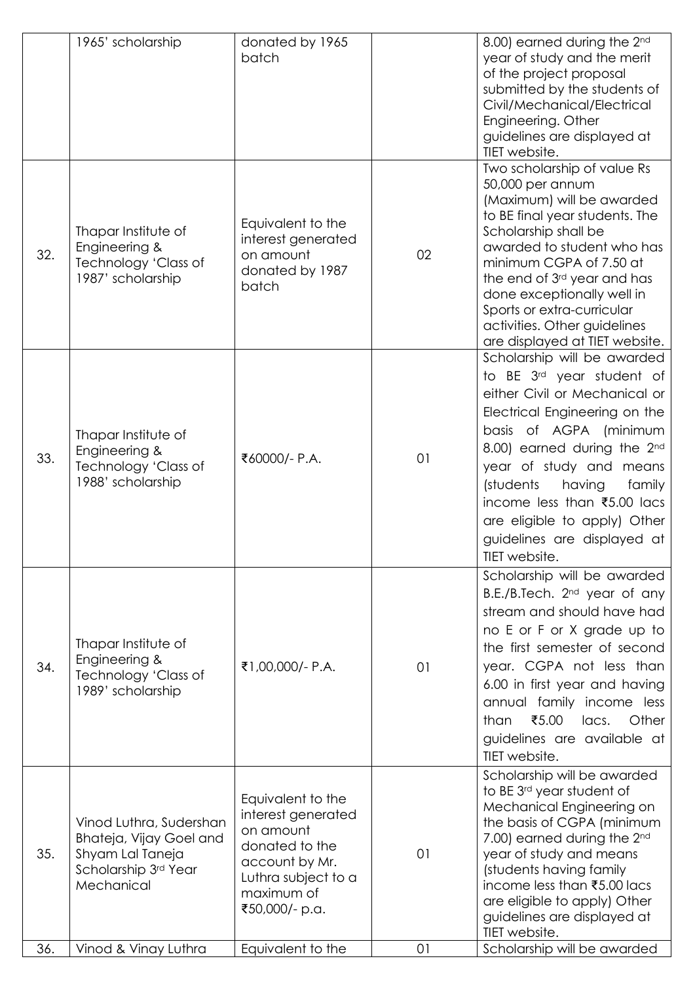|     | 1965' scholarship                                                                                            | donated by 1965<br>batch                                                                                                                        |    | 8.00) earned during the 2nd<br>year of study and the merit<br>of the project proposal<br>submitted by the students of<br>Civil/Mechanical/Electrical<br>Engineering. Other<br>guidelines are displayed at<br>TIET website.                                                                                                                                                 |
|-----|--------------------------------------------------------------------------------------------------------------|-------------------------------------------------------------------------------------------------------------------------------------------------|----|----------------------------------------------------------------------------------------------------------------------------------------------------------------------------------------------------------------------------------------------------------------------------------------------------------------------------------------------------------------------------|
| 32. | Thapar Institute of<br>Engineering &<br>Technology 'Class of<br>1987' scholarship                            | Equivalent to the<br>interest generated<br>on amount<br>donated by 1987<br>batch                                                                | 02 | Two scholarship of value Rs<br>50,000 per annum<br>(Maximum) will be awarded<br>to BE final year students. The<br>Scholarship shall be<br>awarded to student who has<br>minimum CGPA of 7.50 at<br>the end of 3rd year and has<br>done exceptionally well in<br>Sports or extra-curricular<br>activities. Other guidelines<br>are displayed at TIET website.               |
| 33. | Thapar Institute of<br>Engineering &<br>Technology 'Class of<br>1988' scholarship                            | ₹60000/- P.A.                                                                                                                                   | 01 | Scholarship will be awarded<br>to BE 3 <sup>rd</sup> year student of<br>either Civil or Mechanical or<br>Electrical Engineering on the<br>basis of AGPA (minimum<br>8.00) earned during the 2nd<br>year of study and means<br>(students<br>family<br>having<br>income less than ₹5.00 lacs<br>are eligible to apply) Other<br>guidelines are displayed at<br>TIET website. |
| 34. | Thapar Institute of<br>Engineering &<br>Technology 'Class of<br>1989' scholarship                            | ₹1,00,000/- P.A.                                                                                                                                | 01 | Scholarship will be awarded<br>B.E./B.Tech. 2 <sup>nd</sup> year of any<br>stream and should have had<br>no E or F or X grade up to<br>the first semester of second<br>year. CGPA not less than<br>6.00 in first year and having<br>annual family income less<br>₹5.00<br>lacs.<br>than<br>Other<br>guidelines are available at<br>TIET website.                           |
| 35. | Vinod Luthra, Sudershan<br>Bhateja, Vijay Goel and<br>Shyam Lal Taneja<br>Scholarship 3rd Year<br>Mechanical | Equivalent to the<br>interest generated<br>on amount<br>donated to the<br>account by Mr.<br>Luthra subject to a<br>maximum of<br>₹50,000/- p.a. | 01 | Scholarship will be awarded<br>to BE 3 <sup>rd</sup> year student of<br>Mechanical Engineering on<br>the basis of CGPA (minimum<br>7.00) earned during the 2 <sup>nd</sup><br>year of study and means<br>(students having family<br>income less than ₹5.00 lacs<br>are eligible to apply) Other<br>guidelines are displayed at<br>TIET website.                            |
| 36. | Vinod & Vinay Luthra                                                                                         | Equivalent to the                                                                                                                               | 01 | Scholarship will be awarded                                                                                                                                                                                                                                                                                                                                                |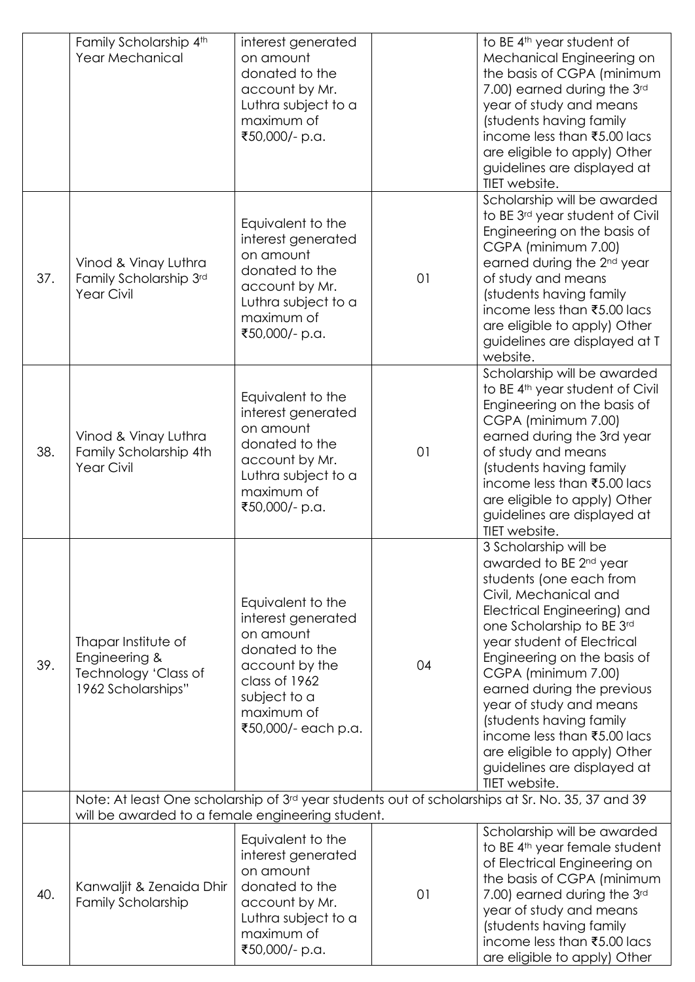|     | Family Scholarship 4th<br>Year Mechanical                                          | interest generated<br>on amount<br>donated to the<br>account by Mr.<br>Luthra subject to a<br>maximum of<br>₹50,000/- p.a.                                     |    | to BE 4 <sup>th</sup> year student of<br>Mechanical Engineering on<br>the basis of CGPA (minimum<br>7.00) earned during the 3rd<br>year of study and means<br>(students having family<br>income less than ₹5.00 lacs<br>are eligible to apply) Other<br>guidelines are displayed at<br>TIET website.                                                                                                                                                               |
|-----|------------------------------------------------------------------------------------|----------------------------------------------------------------------------------------------------------------------------------------------------------------|----|--------------------------------------------------------------------------------------------------------------------------------------------------------------------------------------------------------------------------------------------------------------------------------------------------------------------------------------------------------------------------------------------------------------------------------------------------------------------|
| 37. | Vinod & Vinay Luthra<br>Family Scholarship 3rd<br><b>Year Civil</b>                | Equivalent to the<br>interest generated<br>on amount<br>donated to the<br>account by Mr.<br>Luthra subject to a<br>maximum of<br>₹50,000/- p.a.                | 01 | Scholarship will be awarded<br>to BE 3rd year student of Civil<br>Engineering on the basis of<br>CGPA (minimum 7.00)<br>earned during the 2 <sup>nd</sup> year<br>of study and means<br>(students having family<br>income less than ₹5.00 lacs<br>are eligible to apply) Other<br>guidelines are displayed at T<br>website.                                                                                                                                        |
| 38. | Vinod & Vinay Luthra<br>Family Scholarship 4th<br><b>Year Civil</b>                | Equivalent to the<br>interest generated<br>on amount<br>donated to the<br>account by Mr.<br>Luthra subject to a<br>maximum of<br>₹50,000/- p.a.                | 01 | Scholarship will be awarded<br>to BE 4 <sup>th</sup> year student of Civil<br>Engineering on the basis of<br>CGPA (minimum 7.00)<br>earned during the 3rd year<br>of study and means<br>(students having family<br>income less than ₹5.00 lacs<br>are eligible to apply) Other<br>guidelines are displayed at<br>TIET website.                                                                                                                                     |
| 39. | Thapar Institute of<br>Engineering &<br>Technology 'Class of<br>1962 Scholarships" | Equivalent to the<br>interest generated<br>on amount<br>donated to the<br>account by the<br>class of 1962<br>subject to a<br>maximum of<br>₹50,000/- each p.a. | 04 | 3 Scholarship will be<br>awarded to BE 2 <sup>nd</sup> year<br>students (one each from<br>Civil, Mechanical and<br>Electrical Engineering) and<br>one Scholarship to BE 3rd<br>year student of Electrical<br>Engineering on the basis of<br>CGPA (minimum 7.00)<br>earned during the previous<br>year of study and means<br>(students having family<br>income less than ₹5.00 lacs<br>are eligible to apply) Other<br>guidelines are displayed at<br>TIET website. |
|     | will be awarded to a female engineering student.                                   |                                                                                                                                                                |    | Note: At least One scholarship of 3rd year students out of scholarships at Sr. No. 35, 37 and 39                                                                                                                                                                                                                                                                                                                                                                   |
| 40. | Kanwaljit & Zenaida Dhir<br><b>Family Scholarship</b>                              | Equivalent to the<br>interest generated<br>on amount<br>donated to the<br>account by Mr.<br>Luthra subject to a<br>maximum of<br>₹50,000/- p.a.                | 01 | Scholarship will be awarded<br>to BE 4 <sup>th</sup> year female student<br>of Electrical Engineering on<br>the basis of CGPA (minimum<br>7.00) earned during the 3rd<br>year of study and means<br>(students having family<br>income less than ₹5.00 lacs<br>are eligible to apply) Other                                                                                                                                                                         |